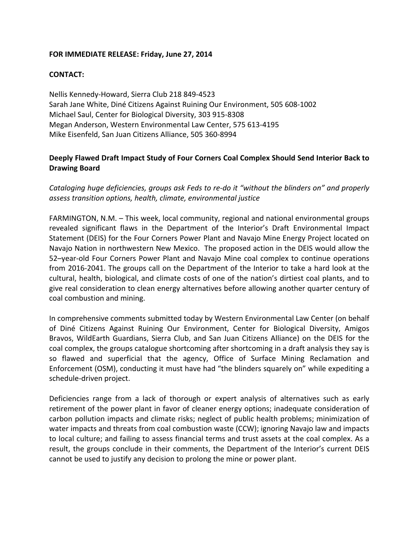## FOR IMMEDIATE RELEASE: Friday, June 27, 2014

## **CONTACT:**

Nellis Kennedy-Howard, Sierra Club 218 849-4523 Sarah Jane White, Diné Citizens Against Ruining Our Environment, 505 608-1002 Michael Saul, Center for Biological Diversity, 303 915-8308 Megan Anderson, Western Environmental Law Center, 575 613-4195 Mike Eisenfeld, San Juan Citizens Alliance, 505 360-8994

## **Deeply Flawed Draft Impact Study of Four Corners Coal Complex Should Send Interior Back to Drawing Board**

Cataloging huge deficiencies, groups ask Feds to re-do it "without the blinders on" and properly *assess transition options, health, climate, environmental justice*

FARMINGTON, N.M. - This week, local community, regional and national environmental groups revealed significant flaws in the Department of the Interior's Draft Environmental Impact Statement (DEIS) for the Four Corners Power Plant and Navajo Mine Energy Project located on Navajo Nation in northwestern New Mexico. The proposed action in the DEIS would allow the 52-year-old Four Corners Power Plant and Navajo Mine coal complex to continue operations from 2016-2041. The groups call on the Department of the Interior to take a hard look at the cultural, health, biological, and climate costs of one of the nation's dirtiest coal plants, and to give real consideration to clean energy alternatives before allowing another quarter century of coal combustion and mining.

In comprehensive comments submitted today by Western Environmental Law Center (on behalf of Diné Citizens Against Ruining Our Environment, Center for Biological Diversity, Amigos Bravos, WildEarth Guardians, Sierra Club, and San Juan Citizens Alliance) on the DEIS for the coal complex, the groups catalogue shortcoming after shortcoming in a draft analysis they say is so flawed and superficial that the agency, Office of Surface Mining Reclamation and Enforcement (OSM), conducting it must have had "the blinders squarely on" while expediting a schedule-driven project.

Deficiencies range from a lack of thorough or expert analysis of alternatives such as early retirement of the power plant in favor of cleaner energy options; inadequate consideration of carbon pollution impacts and climate risks; neglect of public health problems; minimization of water impacts and threats from coal combustion waste (CCW); ignoring Navajo law and impacts to local culture; and failing to assess financial terms and trust assets at the coal complex. As a result, the groups conclude in their comments, the Department of the Interior's current DEIS cannot be used to justify any decision to prolong the mine or power plant.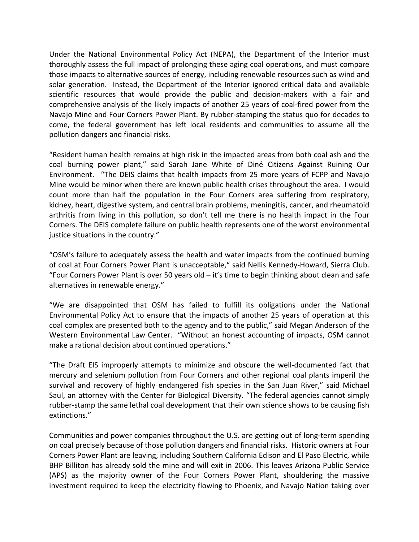Under the National Environmental Policy Act (NEPA), the Department of the Interior must thoroughly assess the full impact of prolonging these aging coal operations, and must compare those impacts to alternative sources of energy, including renewable resources such as wind and solar generation. Instead, the Department of the Interior ignored critical data and available scientific resources that would provide the public and decision-makers with a fair and comprehensive analysis of the likely impacts of another 25 years of coal-fired power from the Navajo Mine and Four Corners Power Plant. By rubber-stamping the status quo for decades to come, the federal government has left local residents and communities to assume all the pollution dangers and financial risks.

"Resident human health remains at high risk in the impacted areas from both coal ash and the coal burning power plant," said Sarah Jane White of Diné Citizens Against Ruining Our Environment. "The DEIS claims that health impacts from 25 more years of FCPP and Navajo Mine would be minor when there are known public health crises throughout the area. I would count more than half the population in the Four Corners area suffering from respiratory, kidney, heart, digestive system, and central brain problems, meningitis, cancer, and rheumatoid arthritis from living in this pollution, so don't tell me there is no health impact in the Four Corners. The DEIS complete failure on public health represents one of the worst environmental justice situations in the country."

"OSM's failure to adequately assess the health and water impacts from the continued burning of coal at Four Corners Power Plant is unacceptable," said Nellis Kennedy-Howard, Sierra Club. "Four Corners Power Plant is over 50 years old  $-$  it's time to begin thinking about clean and safe alternatives in renewable energy."

"We are disappointed that OSM has failed to fulfill its obligations under the National Environmental Policy Act to ensure that the impacts of another 25 years of operation at this coal complex are presented both to the agency and to the public," said Megan Anderson of the Western Environmental Law Center. "Without an honest accounting of impacts, OSM cannot make a rational decision about continued operations."

"The Draft EIS improperly attempts to minimize and obscure the well-documented fact that mercury and selenium pollution from Four Corners and other regional coal plants imperil the survival and recovery of highly endangered fish species in the San Juan River," said Michael Saul, an attorney with the Center for Biological Diversity. "The federal agencies cannot simply rubber-stamp the same lethal coal development that their own science shows to be causing fish extinctions."

Communities and power companies throughout the U.S. are getting out of long-term spending on coal precisely because of those pollution dangers and financial risks. Historic owners at Four Corners Power Plant are leaving, including Southern California Edison and El Paso Electric, while BHP Billiton has already sold the mine and will exit in 2006. This leaves Arizona Public Service (APS) as the majority owner of the Four Corners Power Plant, shouldering the massive investment required to keep the electricity flowing to Phoenix, and Navajo Nation taking over